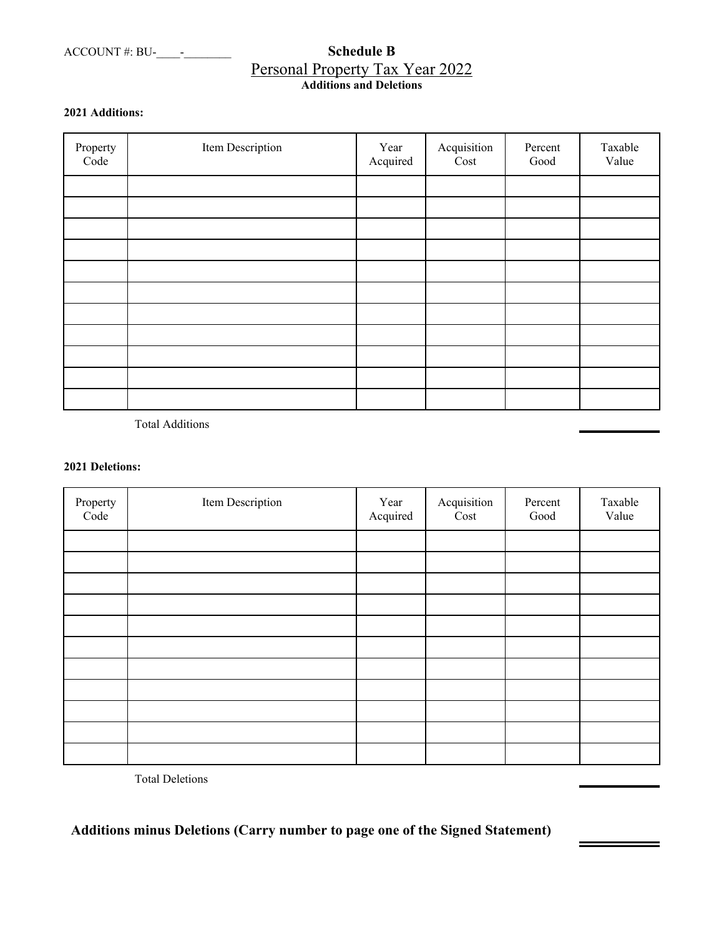# ACCOUNT #: BU-\_\_\_\_-\_\_\_\_\_\_\_\_ **Schedule B**  Personal Property Tax Year 2022 **Additions and Deletions**

## **2021 Additions:**

| Property<br>Code | Item Description | Year<br>Acquired | Acquisition<br>Cost | Percent<br>Good | Taxable<br>Value |
|------------------|------------------|------------------|---------------------|-----------------|------------------|
|                  |                  |                  |                     |                 |                  |
|                  |                  |                  |                     |                 |                  |
|                  |                  |                  |                     |                 |                  |
|                  |                  |                  |                     |                 |                  |
|                  |                  |                  |                     |                 |                  |
|                  |                  |                  |                     |                 |                  |
|                  |                  |                  |                     |                 |                  |
|                  |                  |                  |                     |                 |                  |
|                  |                  |                  |                     |                 |                  |
|                  |                  |                  |                     |                 |                  |
|                  |                  |                  |                     |                 |                  |

Total Additions

## **2021 Deletions:**

| Property<br>Code | Item Description | Year<br>Acquired | Acquisition<br>Cost | Percent<br>Good | Taxable<br>Value |
|------------------|------------------|------------------|---------------------|-----------------|------------------|
|                  |                  |                  |                     |                 |                  |
|                  |                  |                  |                     |                 |                  |
|                  |                  |                  |                     |                 |                  |
|                  |                  |                  |                     |                 |                  |
|                  |                  |                  |                     |                 |                  |
|                  |                  |                  |                     |                 |                  |
|                  |                  |                  |                     |                 |                  |
|                  |                  |                  |                     |                 |                  |
|                  |                  |                  |                     |                 |                  |
|                  |                  |                  |                     |                 |                  |
|                  |                  |                  |                     |                 |                  |

Ė

5

Total Deletions

**Additions minus Deletions (Carry number to page one of the Signed Statement)**